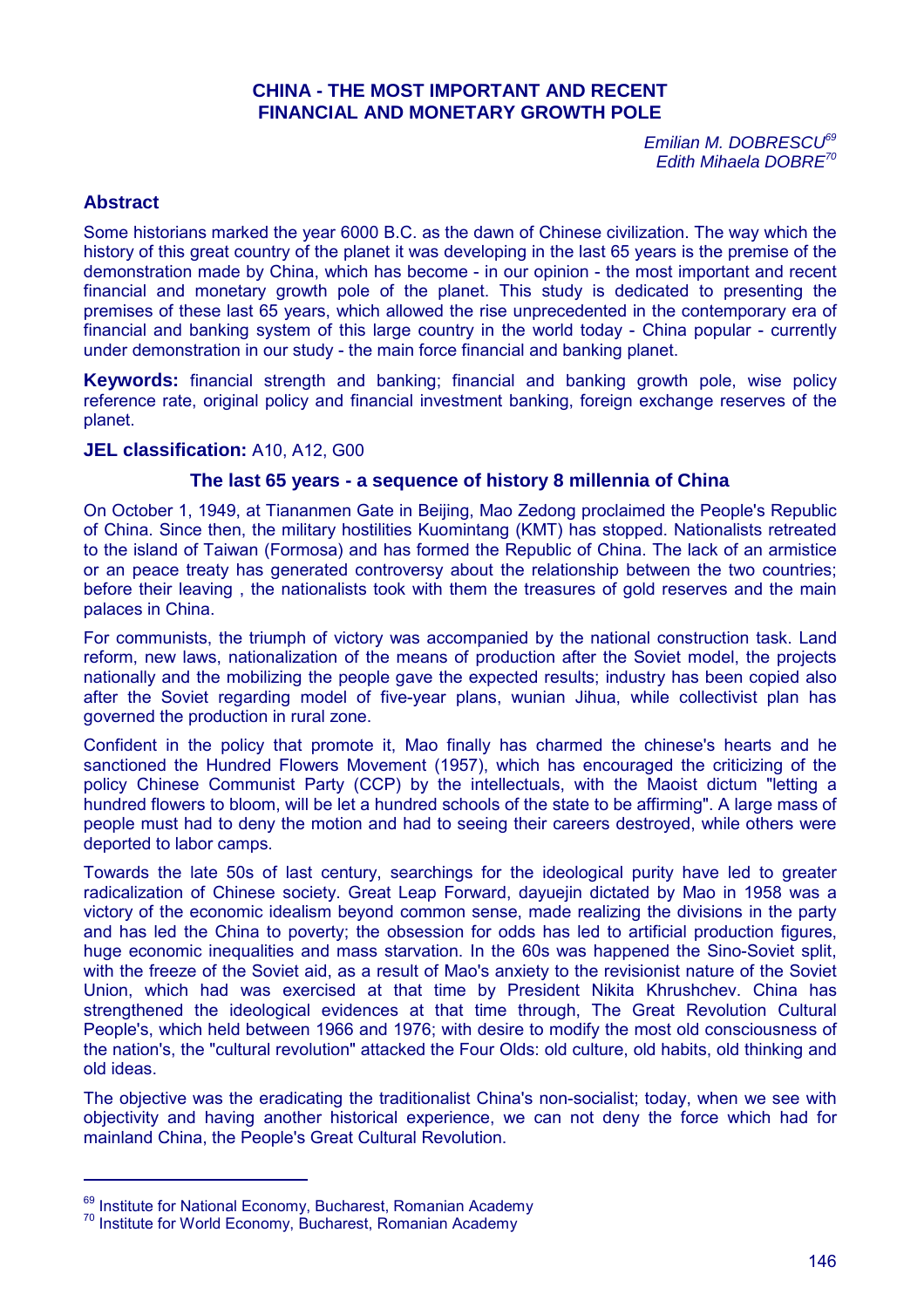# **CHINA - THE MOST IMPORTANT AND RECENT FINANCIAL AND MONETARY GROWTH POLE**

*Emilian M. DOBRESCU<sup>69</sup> Edith Mihaela DOBRE<sup>70</sup>*

## **Abstract**

Some historians marked the year 6000 B.C. as the dawn of Chinese civilization. The way which the history of this great country of the planet it was developing in the last 65 years is the premise of the demonstration made by China, which has become - in our opinion - the most important and recent financial and monetary growth pole of the planet. This study is dedicated to presenting the premises of these last 65 years, which allowed the rise unprecedented in the contemporary era of financial and banking system of this large country in the world today - China popular - currently under demonstration in our study - the main force financial and banking planet.

**Keywords:** financial strength and banking; financial and banking growth pole, wise policy reference rate, original policy and financial investment banking, foreign exchange reserves of the planet.

### **JEL classification:** A10, A12, G00

## **The last 65 years - a sequence of history 8 millennia of China**

On October 1, 1949, at Tiananmen Gate in Beijing, Mao Zedong proclaimed the People's Republic of China. Since then, the military hostilities Kuomintang (KMT) has stopped. Nationalists retreated to the island of Taiwan (Formosa) and has formed the Republic of China. The lack of an armistice or an peace treaty has generated controversy about the relationship between the two countries; before their leaving , the nationalists took with them the treasures of gold reserves and the main palaces in China.

For communists, the triumph of victory was accompanied by the national construction task. Land reform, new laws, nationalization of the means of production after the Soviet model, the projects nationally and the mobilizing the people gave the expected results; industry has been copied also after the Soviet regarding model of five-year plans, wunian Jihua, while collectivist plan has governed the production in rural zone.

Confident in the policy that promote it, Mao finally has charmed the chinese's hearts and he sanctioned the Hundred Flowers Movement (1957), which has encouraged the criticizing of the policy Chinese Communist Party (CCP) by the intellectuals, with the Maoist dictum "letting a hundred flowers to bloom, will be let a hundred schools of the state to be affirming". A large mass of people must had to deny the motion and had to seeing their careers destroyed, while others were deported to labor camps.

Towards the late 50s of last century, searchings for the ideological purity have led to greater radicalization of Chinese society. Great Leap Forward, dayuejin dictated by Mao in 1958 was a victory of the economic idealism beyond common sense, made realizing the divisions in the party and has led the China to poverty; the obsession for odds has led to artificial production figures, huge economic inequalities and mass starvation. In the 60s was happened the Sino-Soviet split, with the freeze of the Soviet aid, as a result of Mao's anxiety to the revisionist nature of the Soviet Union, which had was exercised at that time by President Nikita Khrushchev. China has strengthened the ideological evidences at that time through, The Great Revolution Cultural People's, which held between 1966 and 1976; with desire to modify the most old consciousness of the nation's, the "cultural revolution" attacked the Four Olds: old culture, old habits, old thinking and old ideas.

The objective was the eradicating the traditionalist China's non-socialist; today, when we see with objectivity and having another historical experience, we can not deny the force which had for mainland China, the People's Great Cultural Revolution.

<sup>&</sup>lt;sup>69</sup> Institute for National Economy, Bucharest, Romanian Academy

<sup>70</sup> Institute for World Economy, Bucharest, Romanian Academy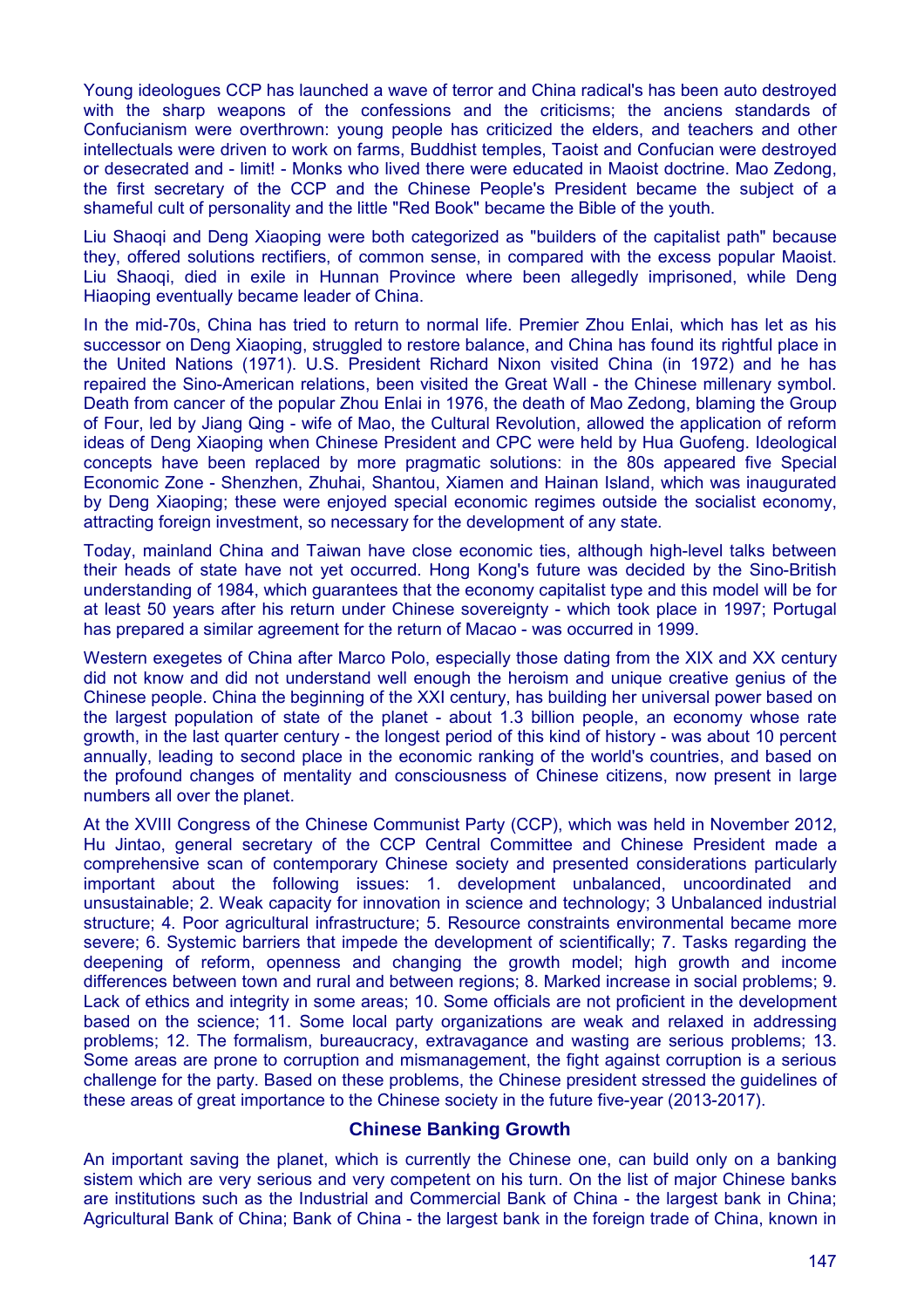Young ideologues CCP has launched a wave of terror and China radical's has been auto destroyed with the sharp weapons of the confessions and the criticisms; the anciens standards of Confucianism were overthrown: young people has criticized the elders, and teachers and other intellectuals were driven to work on farms, Buddhist temples, Taoist and Confucian were destroyed or desecrated and - limit! - Monks who lived there were educated in Maoist doctrine. Mao Zedong, the first secretary of the CCP and the Chinese People's President became the subject of a shameful cult of personality and the little "Red Book" became the Bible of the youth.

Liu Shaoqi and Deng Xiaoping were both categorized as "builders of the capitalist path" because they, offered solutions rectifiers, of common sense, in compared with the excess popular Maoist. Liu Shaoqi, died in exile in Hunnan Province where been allegedly imprisoned, while Deng Hiaoping eventually became leader of China.

In the mid-70s, China has tried to return to normal life. Premier Zhou Enlai, which has let as his successor on Deng Xiaoping, struggled to restore balance, and China has found its rightful place in the United Nations (1971). U.S. President Richard Nixon visited China (in 1972) and he has repaired the Sino-American relations, been visited the Great Wall - the Chinese millenary symbol. Death from cancer of the popular Zhou Enlai in 1976, the death of Mao Zedong, blaming the Group of Four, led by Jiang Qing - wife of Mao, the Cultural Revolution, allowed the application of reform ideas of Deng Xiaoping when Chinese President and CPC were held by Hua Guofeng. Ideological concepts have been replaced by more pragmatic solutions: in the 80s appeared five Special Economic Zone - Shenzhen, Zhuhai, Shantou, Xiamen and Hainan Island, which was inaugurated by Deng Xiaoping; these were enjoyed special economic regimes outside the socialist economy, attracting foreign investment, so necessary for the development of any state.

Today, mainland China and Taiwan have close economic ties, although high-level talks between their heads of state have not yet occurred. Hong Kong's future was decided by the Sino-British understanding of 1984, which guarantees that the economy capitalist type and this model will be for at least 50 years after his return under Chinese sovereignty - which took place in 1997; Portugal has prepared a similar agreement for the return of Macao - was occurred in 1999.

Western exegetes of China after Marco Polo, especially those dating from the XIX and XX century did not know and did not understand well enough the heroism and unique creative genius of the Chinese people. China the beginning of the XXI century, has building her universal power based on the largest population of state of the planet - about 1.3 billion people, an economy whose rate growth, in the last quarter century - the longest period of this kind of history - was about 10 percent annually, leading to second place in the economic ranking of the world's countries, and based on the profound changes of mentality and consciousness of Chinese citizens, now present in large numbers all over the planet.

At the XVIII Congress of the Chinese Communist Party (CCP), which was held in November 2012, Hu Jintao, general secretary of the CCP Central Committee and Chinese President made a comprehensive scan of contemporary Chinese society and presented considerations particularly important about the following issues: 1. development unbalanced, uncoordinated and unsustainable; 2. Weak capacity for innovation in science and technology; 3 Unbalanced industrial structure; 4. Poor agricultural infrastructure; 5. Resource constraints environmental became more severe; 6. Systemic barriers that impede the development of scientifically; 7. Tasks regarding the deepening of reform, openness and changing the growth model; high growth and income differences between town and rural and between regions; 8. Marked increase in social problems; 9. Lack of ethics and integrity in some areas; 10. Some officials are not proficient in the development based on the science; 11. Some local party organizations are weak and relaxed in addressing problems; 12. The formalism, bureaucracy, extravagance and wasting are serious problems; 13. Some areas are prone to corruption and mismanagement, the fight against corruption is a serious challenge for the party. Based on these problems, the Chinese president stressed the guidelines of these areas of great importance to the Chinese society in the future five-year (2013-2017).

## **Chinese Banking Growth**

An important saving the planet, which is currently the Chinese one, can build only on a banking sistem which are very serious and very competent on his turn. On the list of major Chinese banks are institutions such as the Industrial and Commercial Bank of China - the largest bank in China; Agricultural Bank of China; Bank of China - the largest bank in the foreign trade of China, known in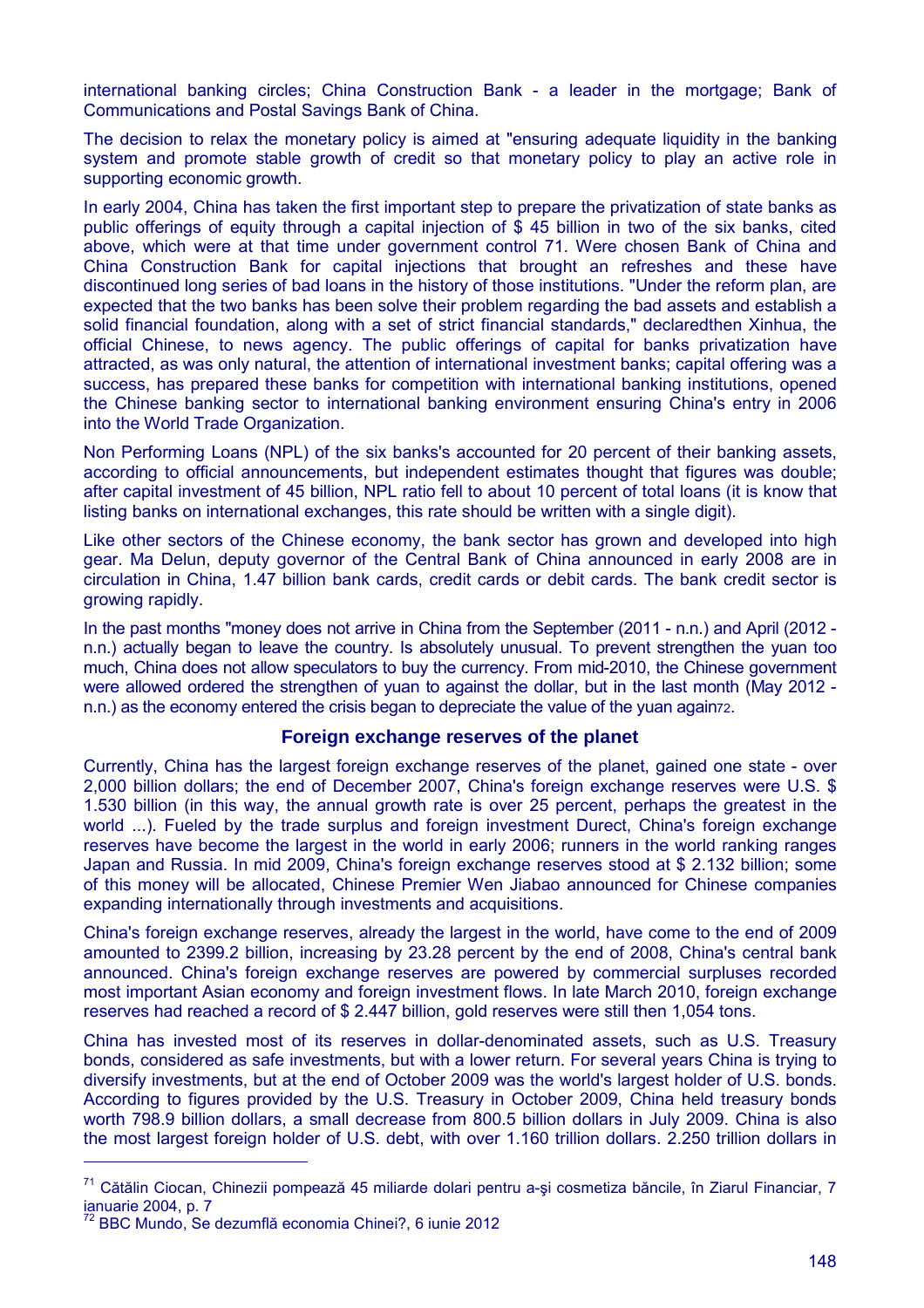international banking circles; China Construction Bank - a leader in the mortgage; Bank of Communications and Postal Savings Bank of China.

The decision to relax the monetary policy is aimed at "ensuring adequate liquidity in the banking system and promote stable growth of credit so that monetary policy to play an active role in supporting economic growth.

In early 2004, China has taken the first important step to prepare the privatization of state banks as public offerings of equity through a capital injection of \$ 45 billion in two of the six banks, cited above, which were at that time under government control 71. Were chosen Bank of China and China Construction Bank for capital injections that brought an refreshes and these have discontinued long series of bad loans in the history of those institutions. "Under the reform plan, are expected that the two banks has been solve their problem regarding the bad assets and establish a solid financial foundation, along with a set of strict financial standards," declaredthen Xinhua, the official Chinese, to news agency. The public offerings of capital for banks privatization have attracted, as was only natural, the attention of international investment banks; capital offering was a success, has prepared these banks for competition with international banking institutions, opened the Chinese banking sector to international banking environment ensuring China's entry in 2006 into the World Trade Organization.

Non Performing Loans (NPL) of the six banks's accounted for 20 percent of their banking assets, according to official announcements, but independent estimates thought that figures was double; after capital investment of 45 billion, NPL ratio fell to about 10 percent of total loans (it is know that listing banks on international exchanges, this rate should be written with a single digit).

Like other sectors of the Chinese economy, the bank sector has grown and developed into high gear. Ma Delun, deputy governor of the Central Bank of China announced in early 2008 are in circulation in China, 1.47 billion bank cards, credit cards or debit cards. The bank credit sector is growing rapidly.

In the past months "money does not arrive in China from the September (2011 - n.n.) and April (2012 n.n.) actually began to leave the country. Is absolutely unusual. To prevent strengthen the yuan too much, China does not allow speculators to buy the currency. From mid-2010, the Chinese government were allowed ordered the strengthen of yuan to against the dollar, but in the last month (May 2012 n.n.) as the economy entered the crisis began to depreciate the value of the yuan again72.

#### **Foreign exchange reserves of the planet**

Currently, China has the largest foreign exchange reserves of the planet, gained one state - over 2,000 billion dollars; the end of December 2007, China's foreign exchange reserves were U.S. \$ 1.530 billion (in this way, the annual growth rate is over 25 percent, perhaps the greatest in the world ...). Fueled by the trade surplus and foreign investment Durect, China's foreign exchange reserves have become the largest in the world in early 2006; runners in the world ranking ranges Japan and Russia. In mid 2009, China's foreign exchange reserves stood at \$ 2.132 billion; some of this money will be allocated, Chinese Premier Wen Jiabao announced for Chinese companies expanding internationally through investments and acquisitions.

China's foreign exchange reserves, already the largest in the world, have come to the end of 2009 amounted to 2399.2 billion, increasing by 23.28 percent by the end of 2008, China's central bank announced. China's foreign exchange reserves are powered by commercial surpluses recorded most important Asian economy and foreign investment flows. In late March 2010, foreign exchange reserves had reached a record of \$ 2.447 billion, gold reserves were still then 1,054 tons.

China has invested most of its reserves in dollar-denominated assets, such as U.S. Treasury bonds, considered as safe investments, but with a lower return. For several years China is trying to diversify investments, but at the end of October 2009 was the world's largest holder of U.S. bonds. According to figures provided by the U.S. Treasury in October 2009, China held treasury bonds worth 798.9 billion dollars, a small decrease from 800.5 billion dollars in July 2009. China is also the most largest foreign holder of U.S. debt, with over 1.160 trillion dollars. 2.250 trillion dollars in

<sup>71</sup> Cătălin Ciocan, Chinezii pompează 45 miliarde dolari pentru a-şi cosmetiza băncile, în Ziarul Financiar, 7 ianuarie 2004, p. 7

<sup>72</sup> BBC Mundo, Se dezumflă economia Chinei?, 6 iunie 2012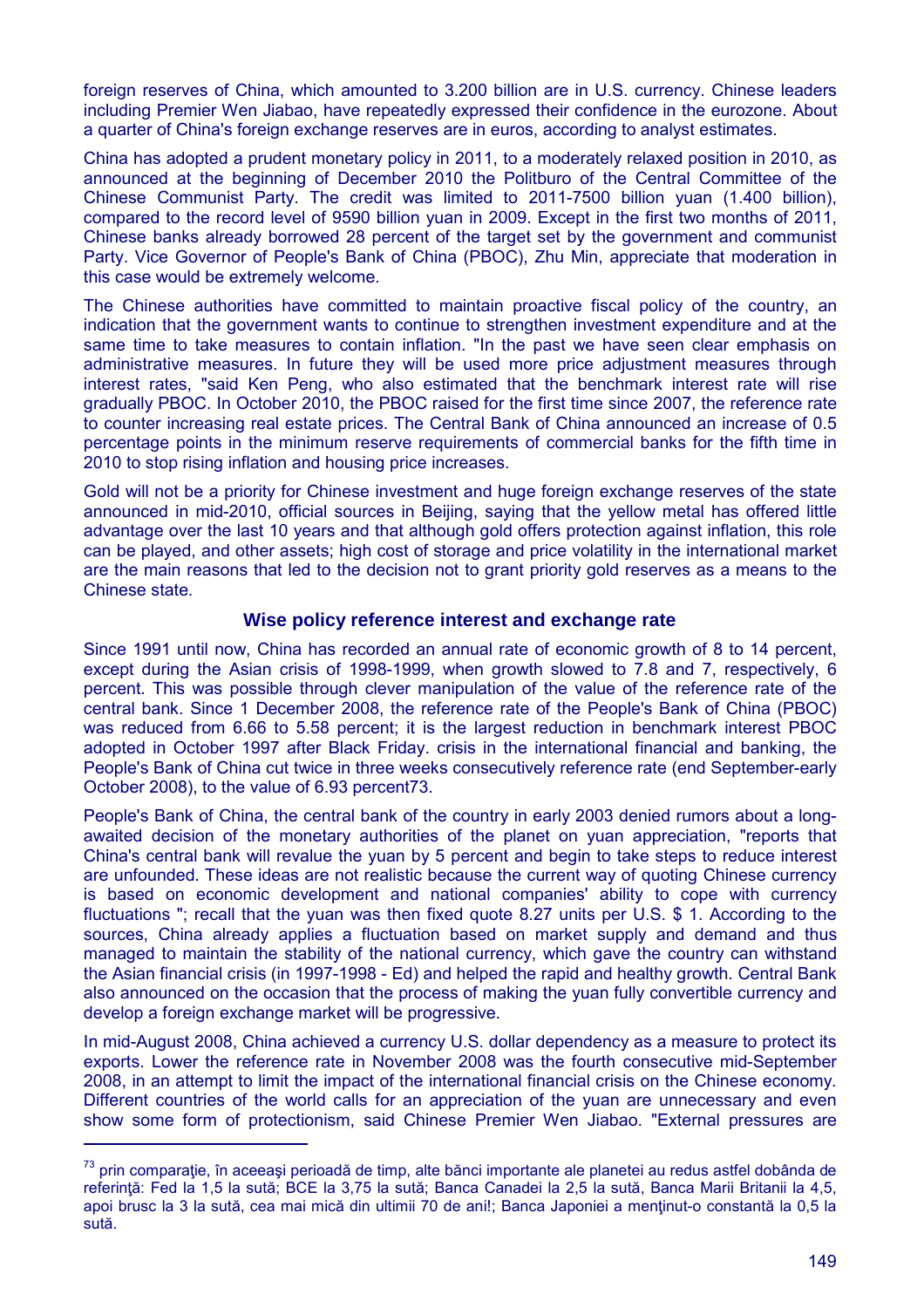foreign reserves of China, which amounted to 3.200 billion are in U.S. currency. Chinese leaders including Premier Wen Jiabao, have repeatedly expressed their confidence in the eurozone. About a quarter of China's foreign exchange reserves are in euros, according to analyst estimates.

China has adopted a prudent monetary policy in 2011, to a moderately relaxed position in 2010, as announced at the beginning of December 2010 the Politburo of the Central Committee of the Chinese Communist Party. The credit was limited to 2011-7500 billion yuan (1.400 billion), compared to the record level of 9590 billion yuan in 2009. Except in the first two months of 2011, Chinese banks already borrowed 28 percent of the target set by the government and communist Party. Vice Governor of People's Bank of China (PBOC), Zhu Min, appreciate that moderation in this case would be extremely welcome.

The Chinese authorities have committed to maintain proactive fiscal policy of the country, an indication that the government wants to continue to strengthen investment expenditure and at the same time to take measures to contain inflation. "In the past we have seen clear emphasis on administrative measures. In future they will be used more price adjustment measures through interest rates, "said Ken Peng, who also estimated that the benchmark interest rate will rise gradually PBOC. In October 2010, the PBOC raised for the first time since 2007, the reference rate to counter increasing real estate prices. The Central Bank of China announced an increase of 0.5 percentage points in the minimum reserve requirements of commercial banks for the fifth time in 2010 to stop rising inflation and housing price increases.

Gold will not be a priority for Chinese investment and huge foreign exchange reserves of the state announced in mid-2010, official sources in Beijing, saying that the yellow metal has offered little advantage over the last 10 years and that although gold offers protection against inflation, this role can be played, and other assets; high cost of storage and price volatility in the international market are the main reasons that led to the decision not to grant priority gold reserves as a means to the Chinese state.

### **Wise policy reference interest and exchange rate**

Since 1991 until now, China has recorded an annual rate of economic growth of 8 to 14 percent, except during the Asian crisis of 1998-1999, when growth slowed to 7.8 and 7, respectively, 6 percent. This was possible through clever manipulation of the value of the reference rate of the central bank. Since 1 December 2008, the reference rate of the People's Bank of China (PBOC) was reduced from 6.66 to 5.58 percent; it is the largest reduction in benchmark interest PBOC adopted in October 1997 after Black Friday. crisis in the international financial and banking, the People's Bank of China cut twice in three weeks consecutively reference rate (end September-early October 2008), to the value of 6.93 percent73.

People's Bank of China, the central bank of the country in early 2003 denied rumors about a longawaited decision of the monetary authorities of the planet on yuan appreciation, "reports that China's central bank will revalue the yuan by 5 percent and begin to take steps to reduce interest are unfounded. These ideas are not realistic because the current way of quoting Chinese currency is based on economic development and national companies' ability to cope with currency fluctuations "; recall that the yuan was then fixed quote 8.27 units per U.S. \$ 1. According to the sources, China already applies a fluctuation based on market supply and demand and thus managed to maintain the stability of the national currency, which gave the country can withstand the Asian financial crisis (in 1997-1998 - Ed) and helped the rapid and healthy growth. Central Bank also announced on the occasion that the process of making the yuan fully convertible currency and develop a foreign exchange market will be progressive.

In mid-August 2008, China achieved a currency U.S. dollar dependency as a measure to protect its exports. Lower the reference rate in November 2008 was the fourth consecutive mid-September 2008, in an attempt to limit the impact of the international financial crisis on the Chinese economy. Different countries of the world calls for an appreciation of the yuan are unnecessary and even show some form of protectionism, said Chinese Premier Wen Jiabao. "External pressures are

<sup>&</sup>lt;sup>73</sup> prin comparatie, în aceeasi perioadă de timp, alte bănci importante ale planetei au redus astfel dobânda de referință: Fed la 1,5 la sută; BCE la 3,75 la sută; Banca Canadei la 2,5 la sută, Banca Marii Britanii la 4,5, apoi brusc la 3 la sută, cea mai mică din ultimii 70 de ani!; Banca Japoniei a menţinut-o constantă la 0,5 la sută.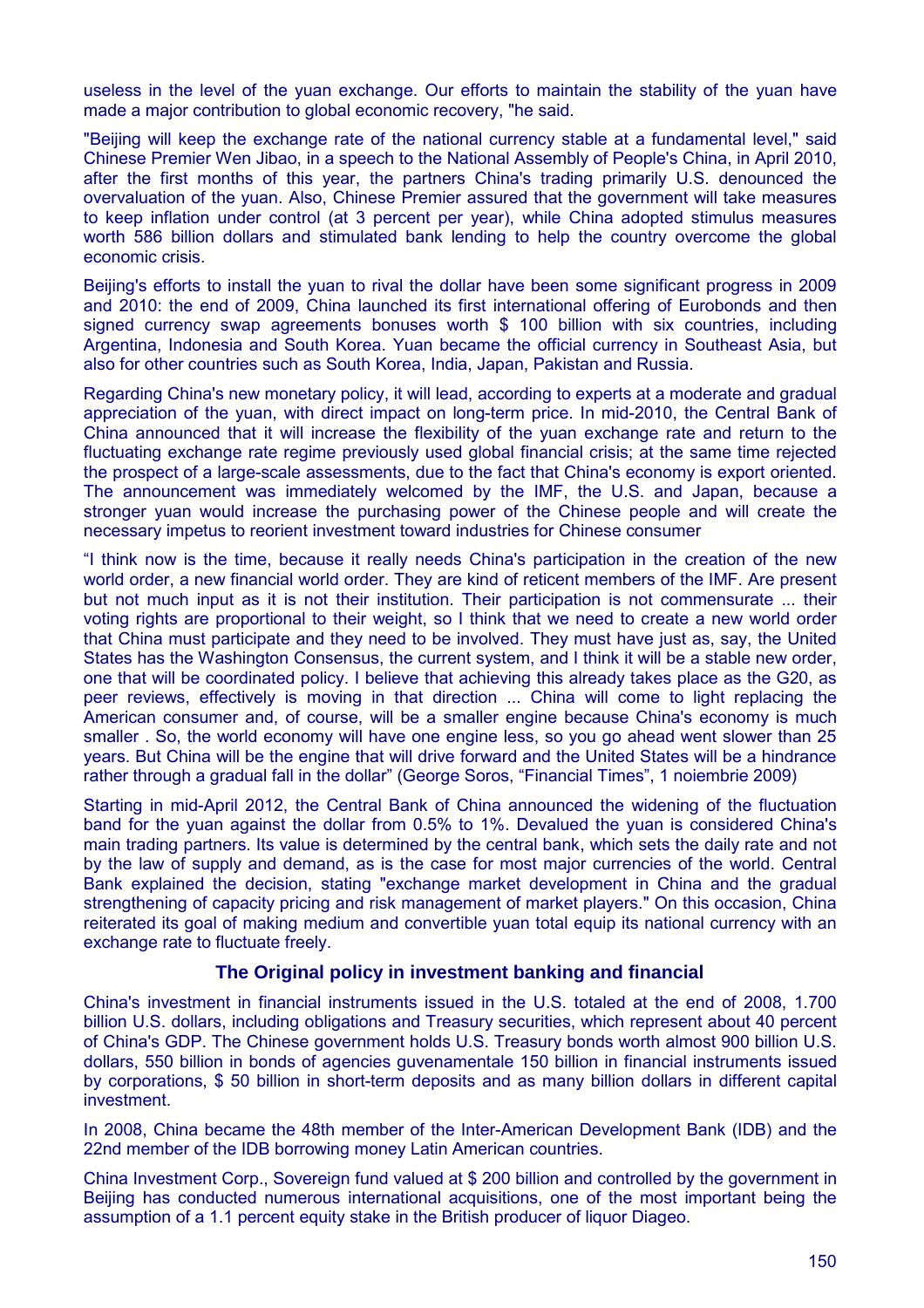useless in the level of the yuan exchange. Our efforts to maintain the stability of the yuan have made a major contribution to global economic recovery, "he said.

"Beijing will keep the exchange rate of the national currency stable at a fundamental level," said Chinese Premier Wen Jibao, in a speech to the National Assembly of People's China, in April 2010, after the first months of this year, the partners China's trading primarily U.S. denounced the overvaluation of the yuan. Also, Chinese Premier assured that the government will take measures to keep inflation under control (at 3 percent per year), while China adopted stimulus measures worth 586 billion dollars and stimulated bank lending to help the country overcome the global economic crisis.

Beijing's efforts to install the yuan to rival the dollar have been some significant progress in 2009 and 2010: the end of 2009, China launched its first international offering of Eurobonds and then signed currency swap agreements bonuses worth \$ 100 billion with six countries, including Argentina, Indonesia and South Korea. Yuan became the official currency in Southeast Asia, but also for other countries such as South Korea, India, Japan, Pakistan and Russia.

Regarding China's new monetary policy, it will lead, according to experts at a moderate and gradual appreciation of the yuan, with direct impact on long-term price. In mid-2010, the Central Bank of China announced that it will increase the flexibility of the yuan exchange rate and return to the fluctuating exchange rate regime previously used global financial crisis; at the same time rejected the prospect of a large-scale assessments, due to the fact that China's economy is export oriented. The announcement was immediately welcomed by the IMF, the U.S. and Japan, because a stronger yuan would increase the purchasing power of the Chinese people and will create the necessary impetus to reorient investment toward industries for Chinese consumer

"I think now is the time, because it really needs China's participation in the creation of the new world order, a new financial world order. They are kind of reticent members of the IMF. Are present but not much input as it is not their institution. Their participation is not commensurate ... their voting rights are proportional to their weight, so I think that we need to create a new world order that China must participate and they need to be involved. They must have just as, say, the United States has the Washington Consensus, the current system, and I think it will be a stable new order, one that will be coordinated policy. I believe that achieving this already takes place as the G20, as peer reviews, effectively is moving in that direction ... China will come to light replacing the American consumer and, of course, will be a smaller engine because China's economy is much smaller . So, the world economy will have one engine less, so you go ahead went slower than 25 years. But China will be the engine that will drive forward and the United States will be a hindrance rather through a gradual fall in the dollar" (George Soros, "Financial Times", 1 noiembrie 2009)

Starting in mid-April 2012, the Central Bank of China announced the widening of the fluctuation band for the yuan against the dollar from 0.5% to 1%. Devalued the yuan is considered China's main trading partners. Its value is determined by the central bank, which sets the daily rate and not by the law of supply and demand, as is the case for most major currencies of the world. Central Bank explained the decision, stating "exchange market development in China and the gradual strengthening of capacity pricing and risk management of market players." On this occasion, China reiterated its goal of making medium and convertible yuan total equip its national currency with an exchange rate to fluctuate freely.

#### **The Original policy in investment banking and financial**

China's investment in financial instruments issued in the U.S. totaled at the end of 2008, 1.700 billion U.S. dollars, including obligations and Treasury securities, which represent about 40 percent of China's GDP. The Chinese government holds U.S. Treasury bonds worth almost 900 billion U.S. dollars, 550 billion in bonds of agencies guvenamentale 150 billion in financial instruments issued by corporations, \$ 50 billion in short-term deposits and as many billion dollars in different capital investment.

In 2008, China became the 48th member of the Inter-American Development Bank (IDB) and the 22nd member of the IDB borrowing money Latin American countries.

China Investment Corp., Sovereign fund valued at \$ 200 billion and controlled by the government in Beijing has conducted numerous international acquisitions, one of the most important being the assumption of a 1.1 percent equity stake in the British producer of liquor Diageo.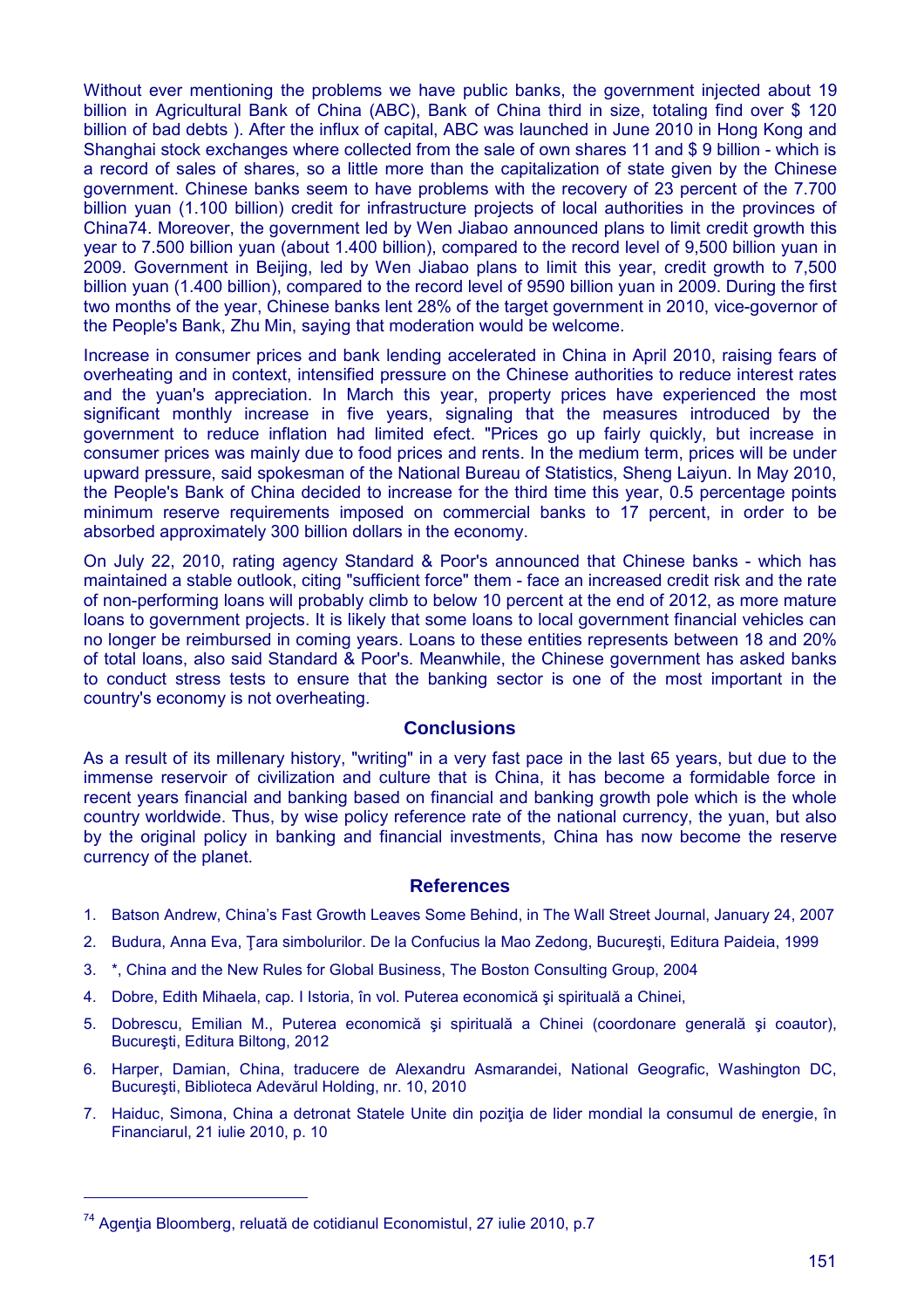Without ever mentioning the problems we have public banks, the government injected about 19 billion in Agricultural Bank of China (ABC), Bank of China third in size, totaling find over \$ 120 billion of bad debts ). After the influx of capital, ABC was launched in June 2010 in Hong Kong and Shanghai stock exchanges where collected from the sale of own shares 11 and \$ 9 billion - which is a record of sales of shares, so a little more than the capitalization of state given by the Chinese government. Chinese banks seem to have problems with the recovery of 23 percent of the 7.700 billion yuan (1.100 billion) credit for infrastructure projects of local authorities in the provinces of China74. Moreover, the government led by Wen Jiabao announced plans to limit credit growth this year to 7.500 billion yuan (about 1.400 billion), compared to the record level of 9,500 billion yuan in 2009. Government in Beijing, led by Wen Jiabao plans to limit this year, credit growth to 7,500 billion yuan (1.400 billion), compared to the record level of 9590 billion yuan in 2009. During the first two months of the year, Chinese banks lent 28% of the target government in 2010, vice-governor of the People's Bank, Zhu Min, saying that moderation would be welcome.

Increase in consumer prices and bank lending accelerated in China in April 2010, raising fears of overheating and in context, intensified pressure on the Chinese authorities to reduce interest rates and the yuan's appreciation. In March this year, property prices have experienced the most significant monthly increase in five years, signaling that the measures introduced by the government to reduce inflation had limited efect. "Prices go up fairly quickly, but increase in consumer prices was mainly due to food prices and rents. In the medium term, prices will be under upward pressure, said spokesman of the National Bureau of Statistics, Sheng Laiyun. In May 2010, the People's Bank of China decided to increase for the third time this year, 0.5 percentage points minimum reserve requirements imposed on commercial banks to 17 percent, in order to be absorbed approximately 300 billion dollars in the economy.

On July 22, 2010, rating agency Standard & Poor's announced that Chinese banks - which has maintained a stable outlook, citing "sufficient force" them - face an increased credit risk and the rate of non-performing loans will probably climb to below 10 percent at the end of 2012, as more mature loans to government projects. It is likely that some loans to local government financial vehicles can no longer be reimbursed in coming years. Loans to these entities represents between 18 and 20% of total loans, also said Standard & Poor's. Meanwhile, the Chinese government has asked banks to conduct stress tests to ensure that the banking sector is one of the most important in the country's economy is not overheating.

#### **Conclusions**

As a result of its millenary history, "writing" in a very fast pace in the last 65 years, but due to the immense reservoir of civilization and culture that is China, it has become a formidable force in recent years financial and banking based on financial and banking growth pole which is the whole country worldwide. Thus, by wise policy reference rate of the national currency, the yuan, but also by the original policy in banking and financial investments, China has now become the reserve currency of the planet.

#### **References**

- 1. Batson Andrew, China's Fast Growth Leaves Some Behind, in The Wall Street Journal, January 24, 2007
- 2. Budura, Anna Eva, Ţara simbolurilor. De la Confucius la Mao Zedong, Bucureşti, Editura Paideia, 1999
- 3. \*, China and the New Rules for Global Business, The Boston Consulting Group, 2004
- 4. Dobre, Edith Mihaela, cap. I Istoria, în vol. Puterea economică şi spirituală a Chinei,
- 5. Dobrescu, Emilian M., Puterea economică şi spirituală a Chinei (coordonare generală şi coautor), Bucureşti, Editura Biltong, 2012
- 6. Harper, Damian, China, traducere de Alexandru Asmarandei, National Geografic, Washington DC, Bucureşti, Biblioteca Adevărul Holding, nr. 10, 2010
- 7. Haiduc, Simona, China a detronat Statele Unite din pozitia de lider mondial la consumul de energie, în Financiarul, 21 iulie 2010, p. 10

<sup>&</sup>lt;sup>74</sup> Agenția Bloomberg, reluată de cotidianul Economistul, 27 iulie 2010, p.7